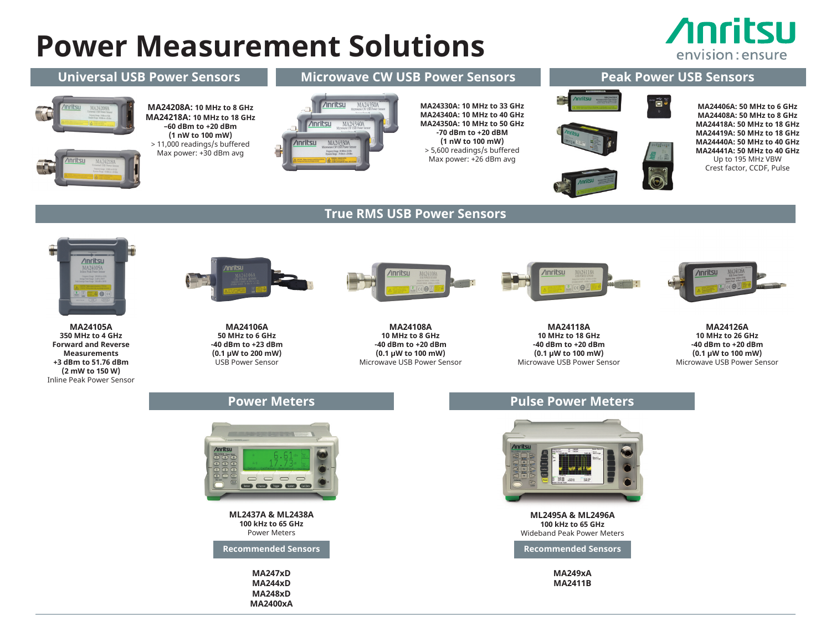## **Power Measurement Solutions**

**MA244xD MA248xD MA2400xA**

## **Anritsu** envision: ensure



**MA2411B**